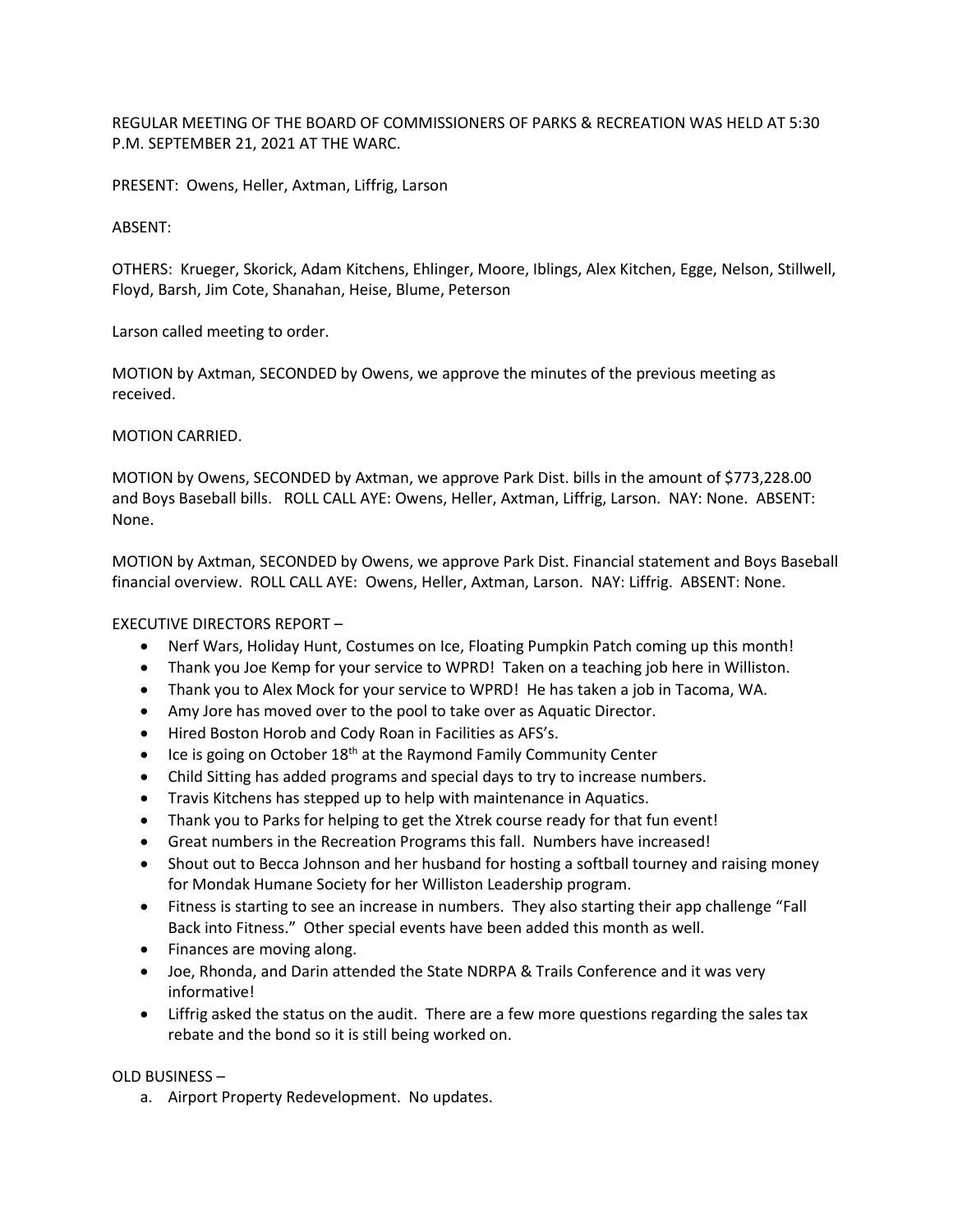REGULAR MEETING OF THE BOARD OF COMMISSIONERS OF PARKS & RECREATION WAS HELD AT 5:30 P.M. SEPTEMBER 21, 2021 AT THE WARC.

PRESENT: Owens, Heller, Axtman, Liffrig, Larson

## ABSENT:

OTHERS: Krueger, Skorick, Adam Kitchens, Ehlinger, Moore, Iblings, Alex Kitchen, Egge, Nelson, Stillwell, Floyd, Barsh, Jim Cote, Shanahan, Heise, Blume, Peterson

Larson called meeting to order.

MOTION by Axtman, SECONDED by Owens, we approve the minutes of the previous meeting as received.

## MOTION CARRIED.

MOTION by Owens, SECONDED by Axtman, we approve Park Dist. bills in the amount of \$773,228.00 and Boys Baseball bills. ROLL CALL AYE: Owens, Heller, Axtman, Liffrig, Larson. NAY: None. ABSENT: None.

MOTION by Axtman, SECONDED by Owens, we approve Park Dist. Financial statement and Boys Baseball financial overview. ROLL CALL AYE: Owens, Heller, Axtman, Larson. NAY: Liffrig. ABSENT: None.

## EXECUTIVE DIRECTORS REPORT –

- Nerf Wars, Holiday Hunt, Costumes on Ice, Floating Pumpkin Patch coming up this month!
- Thank you Joe Kemp for your service to WPRD! Taken on a teaching job here in Williston.
- Thank you to Alex Mock for your service to WPRD! He has taken a job in Tacoma, WA.
- Amy Jore has moved over to the pool to take over as Aquatic Director.
- Hired Boston Horob and Cody Roan in Facilities as AFS's.
- Ice is going on October  $18<sup>th</sup>$  at the Raymond Family Community Center
- Child Sitting has added programs and special days to try to increase numbers.
- Travis Kitchens has stepped up to help with maintenance in Aquatics.
- Thank you to Parks for helping to get the Xtrek course ready for that fun event!
- Great numbers in the Recreation Programs this fall. Numbers have increased!
- Shout out to Becca Johnson and her husband for hosting a softball tourney and raising money for Mondak Humane Society for her Williston Leadership program.
- Fitness is starting to see an increase in numbers. They also starting their app challenge "Fall Back into Fitness." Other special events have been added this month as well.
- Finances are moving along.
- Joe, Rhonda, and Darin attended the State NDRPA & Trails Conference and it was very informative!
- Liffrig asked the status on the audit. There are a few more questions regarding the sales tax rebate and the bond so it is still being worked on.

## OLD BUSINESS –

a. Airport Property Redevelopment. No updates.